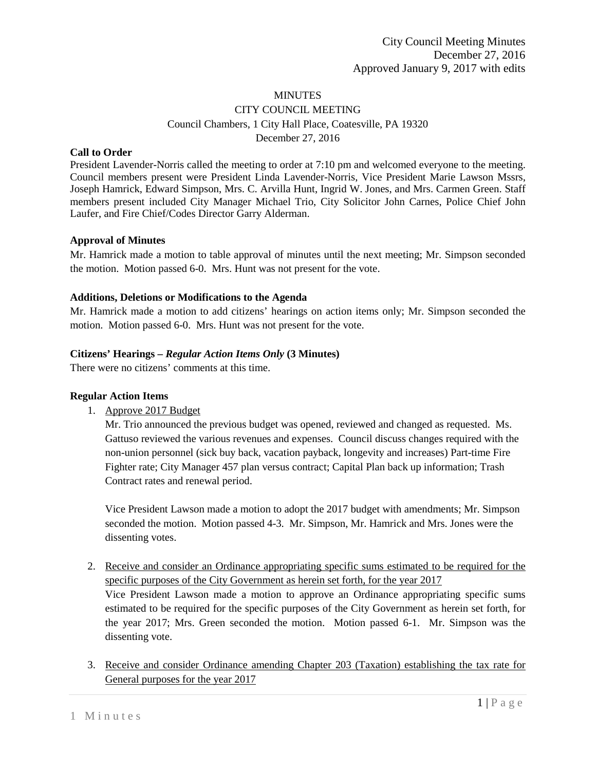### **MINUTES**

## CITY COUNCIL MEETING Council Chambers, 1 City Hall Place, Coatesville, PA 19320 December 27, 2016

#### **Call to Order**

President Lavender-Norris called the meeting to order at 7:10 pm and welcomed everyone to the meeting. Council members present were President Linda Lavender-Norris, Vice President Marie Lawson Mssrs, Joseph Hamrick, Edward Simpson, Mrs. C. Arvilla Hunt, Ingrid W. Jones, and Mrs. Carmen Green. Staff members present included City Manager Michael Trio, City Solicitor John Carnes, Police Chief John Laufer, and Fire Chief/Codes Director Garry Alderman.

#### **Approval of Minutes**

Mr. Hamrick made a motion to table approval of minutes until the next meeting; Mr. Simpson seconded the motion. Motion passed 6-0. Mrs. Hunt was not present for the vote.

#### **Additions, Deletions or Modifications to the Agenda**

Mr. Hamrick made a motion to add citizens' hearings on action items only; Mr. Simpson seconded the motion. Motion passed 6-0. Mrs. Hunt was not present for the vote.

#### **Citizens' Hearings –** *Regular Action Items Only* **(3 Minutes)**

There were no citizens' comments at this time.

#### **Regular Action Items**

1. Approve 2017 Budget

Mr. Trio announced the previous budget was opened, reviewed and changed as requested. Ms. Gattuso reviewed the various revenues and expenses. Council discuss changes required with the non-union personnel (sick buy back, vacation payback, longevity and increases) Part-time Fire Fighter rate; City Manager 457 plan versus contract; Capital Plan back up information; Trash Contract rates and renewal period.

Vice President Lawson made a motion to adopt the 2017 budget with amendments; Mr. Simpson seconded the motion. Motion passed 4-3. Mr. Simpson, Mr. Hamrick and Mrs. Jones were the dissenting votes.

- 2. Receive and consider an Ordinance appropriating specific sums estimated to be required for the specific purposes of the City Government as herein set forth, for the year 2017 Vice President Lawson made a motion to approve an Ordinance appropriating specific sums estimated to be required for the specific purposes of the City Government as herein set forth, for the year 2017; Mrs. Green seconded the motion. Motion passed 6-1. Mr. Simpson was the dissenting vote.
- 3. Receive and consider Ordinance amending Chapter 203 (Taxation) establishing the tax rate for General purposes for the year 2017